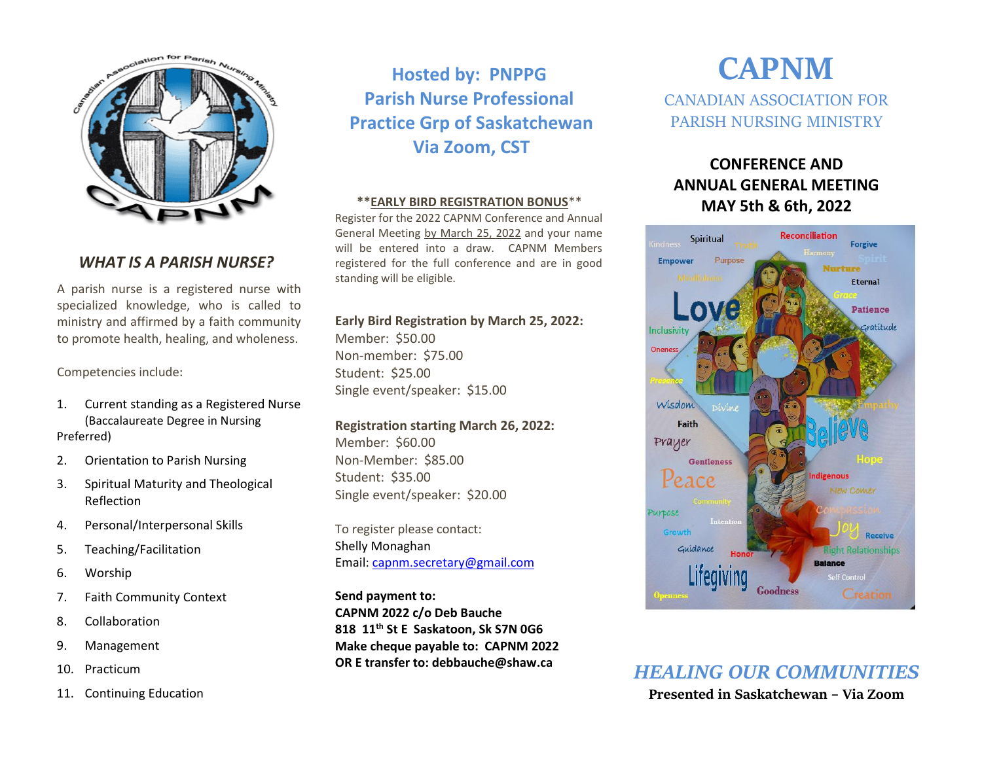

### *WHAT IS A PARISH NURSE?*

A parish nurse is a registered nurse with specialized knowledge, who is called to ministry and affirmed by a faith community to promote health, healing, and wholeness.

Competencies include:

- 1. Current standing as a Registered Nurse (Baccalaureate Degree in Nursing Preferred)
- 2. Orientation to Parish Nursing
- 3. Spiritual Maturity and Theological Reflection
- 4. Personal/Interpersonal Skills
- 5. Teaching/Facilitation
- 6. Worship
- 7. Faith Community Context
- 8. Collaboration
- 9. Management
- 10. Practicum
- 11. Continuing Education

**Hosted by: PNPPG Parish Nurse Professional Practice Grp of Saskatchewan Via Zoom, CST**

### **\*\*EARLY BIRD REGISTRATION BONUS**\*\*

Register for the 2022 CAPNM Conference and Annual General Meeting by March 25, 2022 and your name will be entered into a draw. CAPNM Members registered for the full conference and are in good standing will be eligible.

### **Early Bird Registration by March 25, 2022:**

Member: \$50.00 Non-member: \$75.00 Student: \$25.00 Single event/speaker: \$15.00

### **Registration starting March 26, 2022:**

Member: \$60.00 Non-Member: \$85.00 Student: \$35.00 Single event/speaker: \$20.00

To register please contact: Shelly Monaghan Email: [capnm.secretary@gmail.com](mailto:capnm.secretary@gmail.com)

**Send payment to: CAPNM 2022 c/o Deb Bauche 818 11th St E Saskatoon, Sk S7N 0G6 Make cheque payable to: CAPNM 2022 OR E transfer to: debbauche@shaw.ca**

# **CAPNM** CANADIAN ASSOCIATION FOR PARISH NURSING MINISTRY

## **CONFERENCE AND ANNUAL GENERAL MEETING MAY 5th & 6th, 2022**



*HEALING OUR COMMUNITIES* **Presented in Saskatchewan – Via Zoom**